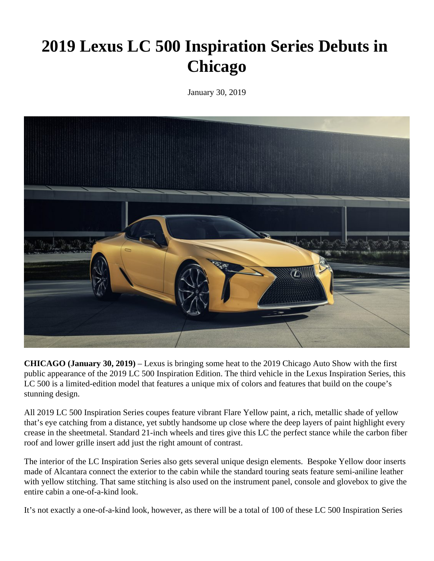## **2019 Lexus LC 500 Inspiration Series Debuts in Chicago**

January 30, 2019



**CHICAGO (January 30, 2019)** – Lexus is bringing some heat to the 2019 Chicago Auto Show with the first public appearance of the 2019 LC 500 Inspiration Edition. The third vehicle in the Lexus Inspiration Series, this LC 500 is a limited-edition model that features a unique mix of colors and features that build on the coupe's stunning design.

All 2019 LC 500 Inspiration Series coupes feature vibrant Flare Yellow paint, a rich, metallic shade of yellow that's eye catching from a distance, yet subtly handsome up close where the deep layers of paint highlight every crease in the sheetmetal. Standard 21-inch wheels and tires give this LC the perfect stance while the carbon fiber roof and lower grille insert add just the right amount of contrast.

The interior of the LC Inspiration Series also gets several unique design elements. Bespoke Yellow door inserts made of Alcantara connect the exterior to the cabin while the standard touring seats feature semi-aniline leather with yellow stitching. That same stitching is also used on the instrument panel, console and glovebox to give the entire cabin a one-of-a-kind look.

It's not exactly a one-of-a-kind look, however, as there will be a total of 100 of these LC 500 Inspiration Series